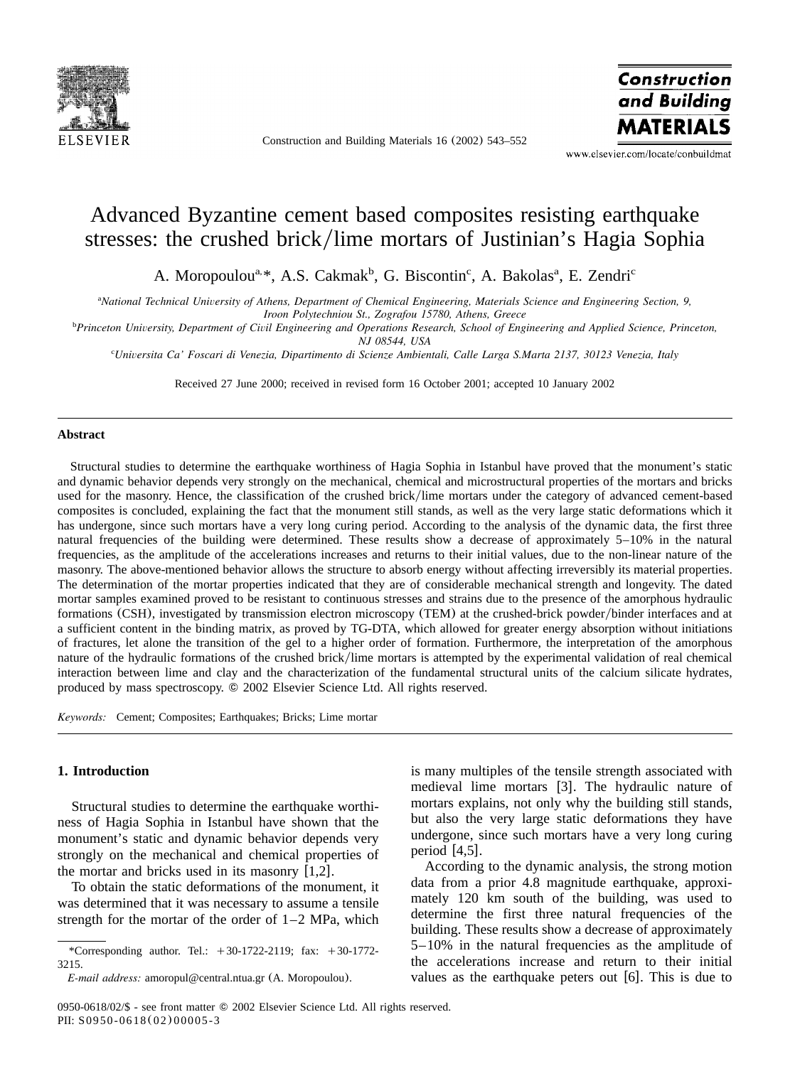

Construction and Building Materials 16 (2002) 543–552



www.elsevier.com/locate/conbuildmat

# Advanced Byzantine cement based composites resisting earthquake stresses: the crushed brick/lime mortars of Justinian's Hagia Sophia

A. Moropoulou<sup>a, \*</sup>, A.S. Cakmak<sup>b</sup>, G. Biscontin<sup>c</sup>, A. Bakolas<sup>a</sup>, E. Zendri<sup>c</sup>

<sup>a</sup>National Technical University of Athens, Department of Chemical Engineering, Materials Science and Engineering Section, 9, *Iroon Polytechniou St., Zografou 15780, Athens, Greece*

*Princeton University, Department of Civil Engineering and Operations Research, School of Engineering and Applied Science, Princeton,* <sup>b</sup>

*NJ 08544, USA*

*Universita Ca' Foscari di Venezia, Dipartimento di Scienze Ambientali, Calle Larga S.Marta 2137, 30123 Venezia, Italy* <sup>c</sup>

Received 27 June 2000; received in revised form 16 October 2001; accepted 10 January 2002

#### **Abstract**

Structural studies to determine the earthquake worthiness of Hagia Sophia in Istanbul have proved that the monument's static and dynamic behavior depends very strongly on the mechanical, chemical and microstructural properties of the mortars and bricks used for the masonry. Hence, the classification of the crushed brick/lime mortars under the category of advanced cement-based composites is concluded, explaining the fact that the monument still stands, as well as the very large static deformations which it has undergone, since such mortars have a very long curing period. According to the analysis of the dynamic data, the first three natural frequencies of the building were determined. These results show a decrease of approximately 5–10% in the natural frequencies, as the amplitude of the accelerations increases and returns to their initial values, due to the non-linear nature of the masonry. The above-mentioned behavior allows the structure to absorb energy without affecting irreversibly its material properties. The determination of the mortar properties indicated that they are of considerable mechanical strength and longevity. The dated mortar samples examined proved to be resistant to continuous stresses and strains due to the presence of the amorphous hydraulic formations (CSH), investigated by transmission electron microscopy (TEM) at the crushed-brick powder/binder interfaces and at a sufficient content in the binding matrix, as proved by TG-DTA, which allowed for greater energy absorption without initiations of fractures, let alone the transition of the gel to a higher order of formation. Furthermore, the interpretation of the amorphous nature of the hydraulic formations of the crushed brick/lime mortars is attempted by the experimental validation of real chemical interaction between lime and clay and the characterization of the fundamental structural units of the calcium silicate hydrates, produced by mass spectroscopy.  $\circledcirc$  2002 Elsevier Science Ltd. All rights reserved.

*Keywords:* Cement; Composites; Earthquakes; Bricks; Lime mortar

## **1. Introduction**

Structural studies to determine the earthquake worthiness of Hagia Sophia in Istanbul have shown that the monument's static and dynamic behavior depends very strongly on the mechanical and chemical properties of the mortar and bricks used in its masonry  $[1,2]$  $[1,2]$  $[1,2]$ .

To obtain the static deformations of the monument, it was determined that it was necessary to assume a tensile strength for the mortar of the order of 1–2 MPa, which

is many multiples of the tensile strength associated with medieval lime mortars [[3](#page-8-0)]. The hydraulic nature of mortars explains, not only why the building still stands, but also the very large static deformations they have undergone, since such mortars have a very long curing period  $[4,5]$  $[4,5]$  $[4,5]$ .

According to the dynamic analysis, the strong motion data from a prior 4.8 magnitude earthquake, approximately 120 km south of the building, was used to determine the first three natural frequencies of the building. These results show a decrease of approximately 5–10% in the natural frequencies as the amplitude of the accelerations increase and return to their initial values as the earthquake peters out  $[6]$  $[6]$  $[6]$ . This is due to

<sup>\*</sup>Corresponding author. Tel.:  $+30-1722-2119$ ; fax:  $+30-1772-$ 3215.

*E-mail address:* amoropul@central.ntua.gr (A. Moropoulou).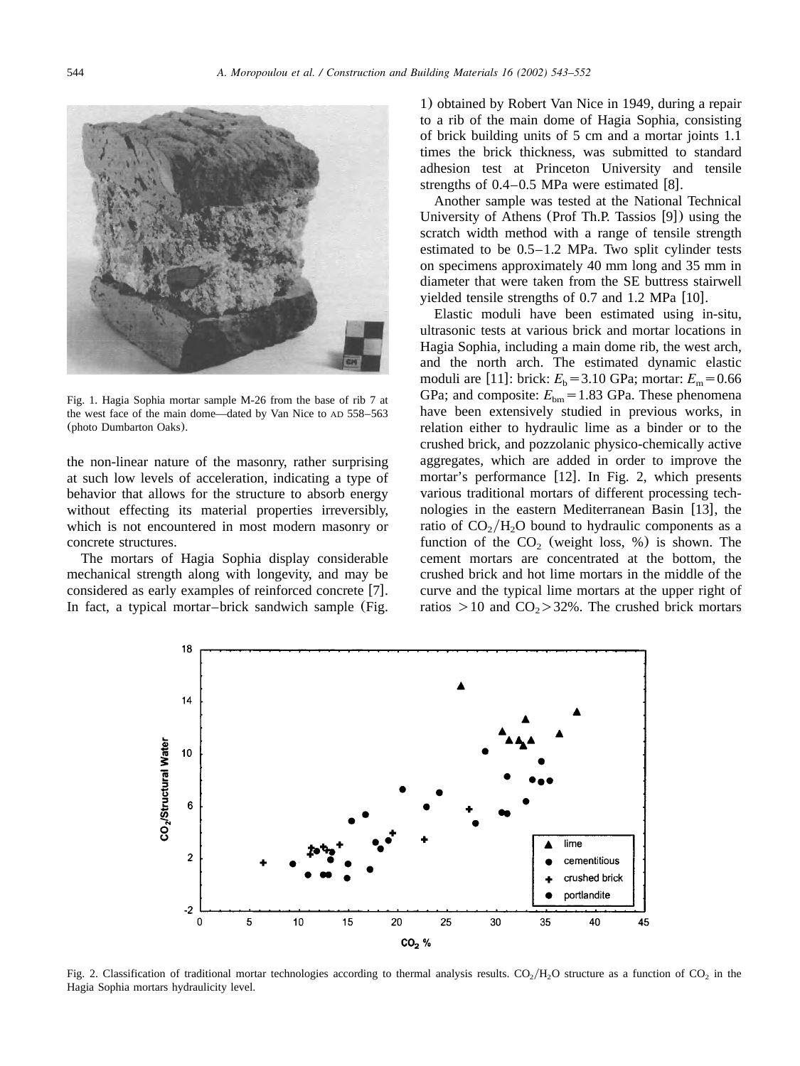

Fig. 1. Hagia Sophia mortar sample M-26 from the base of rib 7 at the west face of the main dome—dated by Van Nice to AD 558–563 (photo Dumbarton Oaks).

the non-linear nature of the masonry, rather surprising at such low levels of acceleration, indicating a type of behavior that allows for the structure to absorb energy without effecting its material properties irreversibly, which is not encountered in most modern masonry or concrete structures.

The mortars of Hagia Sophia display considerable mechanical strength along with longevity, and may be considered as early examples of reinforced concrete  $[7]$  $[7]$  $[7]$ . In fact, a typical mortar–brick sandwich sample (Fig.

1) obtained by Robert Van Nice in 1949, during a repair to a rib of the main dome of Hagia Sophia, consisting of brick building units of 5 cm and a mortar joints 1.1 times the brick thickness, was submitted to standard adhesion test at Princeton University and tensile strengths of  $0.4-0.5$  MPa were estimated [[8](#page-8-0)].

Another sample was tested at the National Technical University of Athens (Prof Th.P. Tassios  $[9]$  $[9]$  $[9]$ ) using the scratch width method with a range of tensile strength estimated to be 0.5–1.2 MPa. Two split cylinder tests on specimens approximately 40 mm long and 35 mm in diameter that were taken from the SE buttress stairwell yielded tensile strengths of  $0.7$  and  $1.2$  MPa  $[10]$  $[10]$  $[10]$ .

Elastic moduli have been estimated using in-situ, ultrasonic tests at various brick and mortar locations in Hagia Sophia, including a main dome rib, the west arch, and the north arch. The estimated dynamic elastic moduli are [[11](#page-8-0)]: brick:  $E_b = 3.10 \text{ GPa}$ ; mortar:  $E_m = 0.66$ GPa; and composite:  $E_{bm} = 1.83$  GPa. These phenomena have been extensively studied in previous works, in relation either to hydraulic lime as a binder or to the crushed brick, and pozzolanic physico-chemically active aggregates, which are added in order to improve the mortar's performance  $[12]$  $[12]$  $[12]$ . In Fig. 2, which presents various traditional mortars of different processing tech-nologies in the eastern Mediterranean Basin [[13](#page-8-0)], the ratio of  $CO<sub>2</sub>/H<sub>2</sub>O$  bound to hydraulic components as a function of the  $CO<sub>2</sub>$  (weight loss, %) is shown. The cement mortars are concentrated at the bottom, the crushed brick and hot lime mortars in the middle of the curve and the typical lime mortars at the upper right of ratios  $> 10$  and  $CO<sub>2</sub> > 32$ %. The crushed brick mortars



Fig. 2. Classification of traditional mortar technologies according to thermal analysis results.  $CO<sub>2</sub>/H<sub>2</sub>O$  structure as a function of CO<sub>2</sub> in the Hagia Sophia mortars hydraulicity level.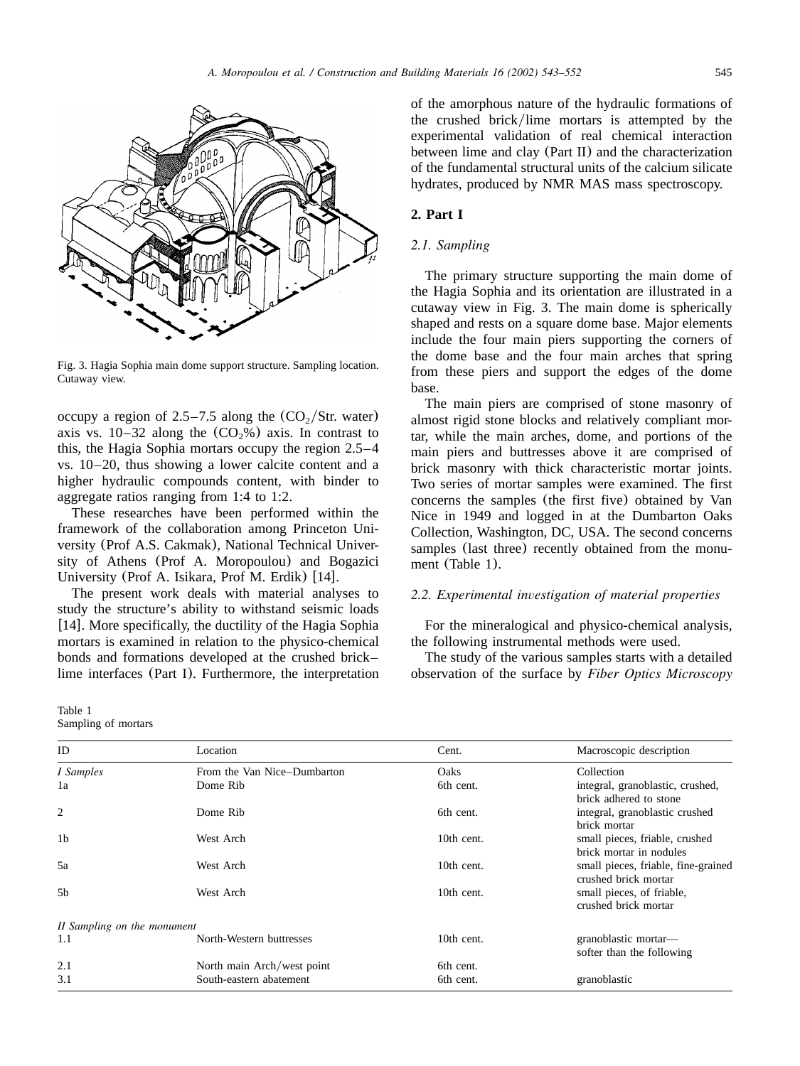

Fig. 3. Hagia Sophia main dome support structure. Sampling location. Cutaway view.

occupy a region of  $2.5-7.5$  along the  $(CO<sub>2</sub>/Str.$  water) axis vs.  $10-32$  along the  $(CO_2\%)$  axis. In contrast to this, the Hagia Sophia mortars occupy the region 2.5–4 vs. 10–20, thus showing a lower calcite content and a higher hydraulic compounds content, with binder to aggregate ratios ranging from 1:4 to 1:2.

These researches have been performed within the framework of the collaboration among Princeton University (Prof A.S. Cakmak), National Technical University of Athens (Prof A. Moropoulou) and Bogazici University (Prof A. Isikara, Prof M. Erdik) [[14](#page-8-0)].

The present work deals with material analyses to study the structure's ability to withstand seismic loads [[14](#page-8-0)]. More specifically, the ductility of the Hagia Sophia mortars is examined in relation to the physico-chemical bonds and formations developed at the crushed brick– lime interfaces (Part I). Furthermore, the interpretation

| Table 1             |  |
|---------------------|--|
| Sampling of mortars |  |

of the amorphous nature of the hydraulic formations of the crushed brick/lime mortars is attempted by the experimental validation of real chemical interaction between lime and clay (Part II) and the characterization of the fundamental structural units of the calcium silicate hydrates, produced by NMR MAS mass spectroscopy.

# **2. Part I**

### *2.1. Sampling*

The primary structure supporting the main dome of the Hagia Sophia and its orientation are illustrated in a cutaway view in Fig. 3. The main dome is spherically shaped and rests on a square dome base. Major elements include the four main piers supporting the corners of the dome base and the four main arches that spring from these piers and support the edges of the dome base.

The main piers are comprised of stone masonry of almost rigid stone blocks and relatively compliant mortar, while the main arches, dome, and portions of the main piers and buttresses above it are comprised of brick masonry with thick characteristic mortar joints. Two series of mortar samples were examined. The first concerns the samples (the first five) obtained by Van Nice in 1949 and logged in at the Dumbarton Oaks Collection, Washington, DC, USA. The second concerns samples (last three) recently obtained from the monument (Table 1).

# *2.2. Experimental investigation of material properties*

For the mineralogical and physico-chemical analysis, the following instrumental methods were used.

The study of the various samples starts with a detailed observation of the surface by *Fiber Optics Microscopy*

| ID                          | Location                    | Cent.      | Macroscopic description                                     |  |  |  |
|-----------------------------|-----------------------------|------------|-------------------------------------------------------------|--|--|--|
| I Samples                   | From the Van Nice–Dumbarton | Oaks       | Collection                                                  |  |  |  |
| 1a                          | Dome Rib                    | 6th cent.  | integral, granoblastic, crushed,<br>brick adhered to stone  |  |  |  |
| 2                           | Dome Rib                    | 6th cent.  | integral, granoblastic crushed<br>brick mortar              |  |  |  |
| 1 <sub>b</sub>              | West Arch                   | 10th cent. | small pieces, friable, crushed<br>brick mortar in nodules   |  |  |  |
| 5a                          | West Arch                   | 10th cent. | small pieces, friable, fine-grained<br>crushed brick mortar |  |  |  |
| 5 <sub>b</sub>              | West Arch                   | 10th cent. | small pieces, of friable,<br>crushed brick mortar           |  |  |  |
| II Sampling on the monument |                             |            |                                                             |  |  |  |
| 1.1                         | North-Western buttresses    | 10th cent. | granoblastic mortar-<br>softer than the following           |  |  |  |
| 2.1                         | North main Arch/west point  | 6th cent.  |                                                             |  |  |  |
| 3.1                         | South-eastern abatement     | 6th cent.  | granoblastic                                                |  |  |  |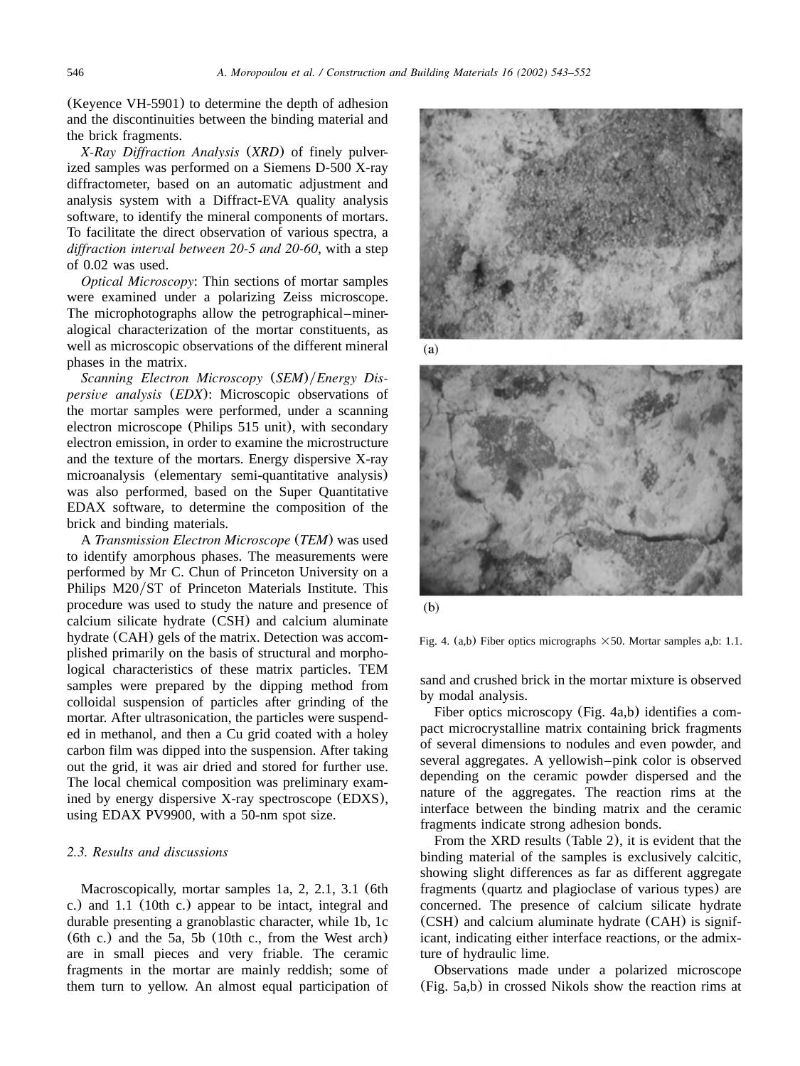(Keyence VH-5901) to determine the depth of adhesion and the discontinuities between the binding material and the brick fragments.

*X-Ray Diffraction Analysis* (*XRD*) of finely pulverized samples was performed on a Siemens D-500 X-ray diffractometer, based on an automatic adjustment and analysis system with a Diffract-EVA quality analysis software, to identify the mineral components of mortars. To facilitate the direct observation of various spectra, a *diffraction interval between 20-5 and 20-60*, with a step of 0.02 was used.

*Optical Microscopy*: Thin sections of mortar samples were examined under a polarizing Zeiss microscope. The microphotographs allow the petrographical–mineralogical characterization of the mortar constituents, as well as microscopic observations of the different mineral phases in the matrix.

*Scanning Electron Microscopy (SEM)/Energy Dispersive analysis* (*EDX*): Microscopic observations of the mortar samples were performed, under a scanning electron microscope (Philips 515 unit), with secondary electron emission, in order to examine the microstructure and the texture of the mortars. Energy dispersive X-ray microanalysis (elementary semi-quantitative analysis) was also performed, based on the Super Quantitative EDAX software, to determine the composition of the brick and binding materials.

A *Transmission Electron Microscope* (*TEM*) was used to identify amorphous phases. The measurements were performed by Mr C. Chun of Princeton University on a Philips M20/ST of Princeton Materials Institute. This procedure was used to study the nature and presence of calcium silicate hydrate (CSH) and calcium aluminate hydrate (CAH) gels of the matrix. Detection was accomplished primarily on the basis of structural and morphological characteristics of these matrix particles. TEM samples were prepared by the dipping method from colloidal suspension of particles after grinding of the mortar. After ultrasonication, the particles were suspended in methanol, and then a Cu grid coated with a holey carbon film was dipped into the suspension. After taking out the grid, it was air dried and stored for further use. The local chemical composition was preliminary examined by energy dispersive X-ray spectroscope (EDXS), using EDAX PV9900, with a 50-nm spot size.

## *2.3. Results and discussions*

Macroscopically, mortar samples 1a, 2, 2.1, 3.1 (6th c.) and 1.1 (10th c.) appear to be intact, integral and durable presenting a granoblastic character, while 1b, 1c (6th c.) and the 5a, 5b (10th c., from the West arch) are in small pieces and very friable. The ceramic fragments in the mortar are mainly reddish; some of them turn to yellow. An almost equal participation of



 $(a)$ 



 $(b)$ 

Fig. 4. (a,b) Fiber optics micrographs  $\times$  50. Mortar samples a,b: 1.1.

sand and crushed brick in the mortar mixture is observed by modal analysis.

Fiber optics microscopy (Fig. 4a,b) identifies a compact microcrystalline matrix containing brick fragments of several dimensions to nodules and even powder, and several aggregates. A yellowish–pink color is observed depending on the ceramic powder dispersed and the nature of the aggregates. The reaction rims at the interface between the binding matrix and the ceramic fragments indicate strong adhesion bonds.

From the XRD results ([Table 2](#page-4-0)), it is evident that the binding material of the samples is exclusively calcitic, showing slight differences as far as different aggregate fragments (quartz and plagioclase of various types) are concerned. The presence of calcium silicate hydrate (CSH) and calcium aluminate hydrate (CAH) is significant, indicating either interface reactions, or the admixture of hydraulic lime.

Observations made under a polarized microscope ([Fig. 5a](#page-4-0),b) in crossed Nikols show the reaction rims at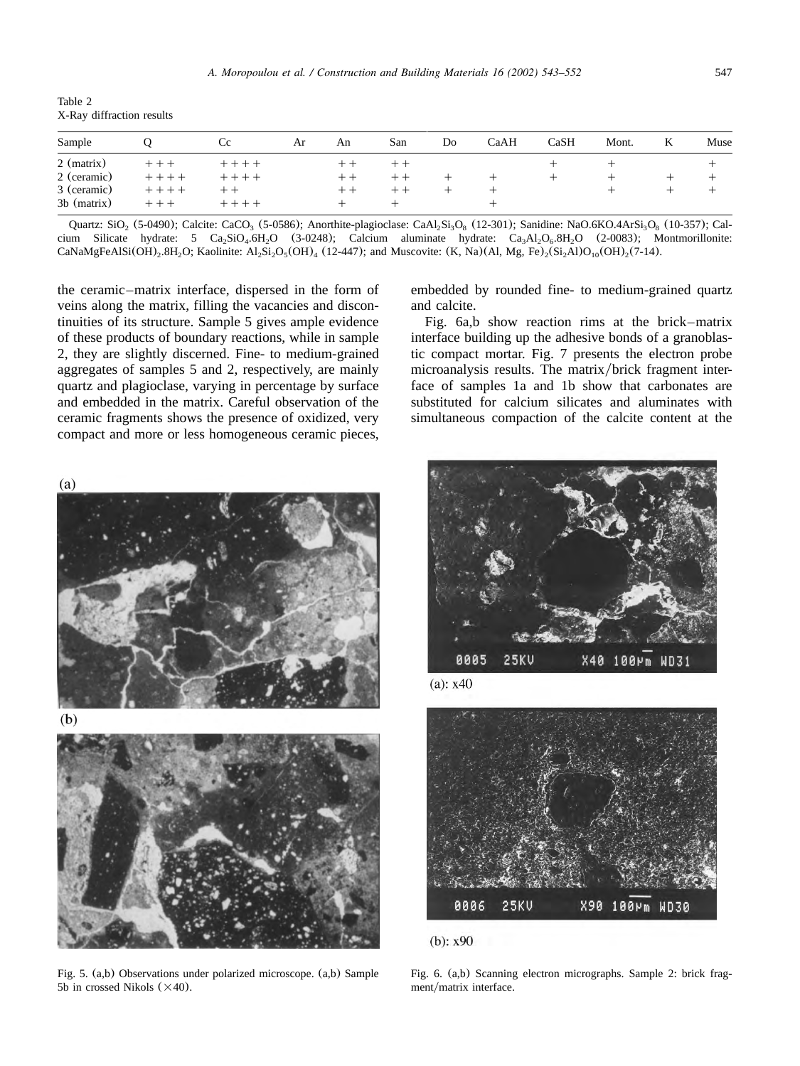<span id="page-4-0"></span>Table 2 X-Ray diffraction results

| Sample      |           | <b>Cc</b> | Ar | An                       | San   | Do | CaAH | CaSH | Mont. | K | Muse |
|-------------|-----------|-----------|----|--------------------------|-------|----|------|------|-------|---|------|
| 2 (matrix)  | $++$ $+$  | $+ + +$   |    |                          |       |    |      |      |       |   |      |
| 2 (ceramic) | $+ + + +$ | $+ + +$   |    | $\pm$                    |       |    |      |      |       |   |      |
| 3 (ceramic) | $+ + + +$ | $+ +$     |    | $\overline{\phantom{0}}$ | $\pm$ |    |      |      |       |   |      |
| 3b (matrix) | $+ + +$   | $+ + + +$ |    |                          |       |    | +    |      |       |   |      |

Quartz: SiO<sub>2</sub> (5-0490); Calcite: CaCO<sub>3</sub> (5-0586); Anorthite-plagioclase: CaAl<sub>2</sub>Si<sub>3</sub>O<sub>8</sub> (12-301); Sanidine: NaO.6KO.4ArSi<sub>3</sub>O<sub>8</sub> (10-357); Calcium Silicate hydrate: 5  $Ca_2SiO_4.6H_2O$  (3-0248); Calcium aluminate hydrate:  $Ca_2Al_2O_4.8H_2O$  (2-0083); Montmorillonite: CaNaMgFeAlSi(OH)<sub>2</sub>.8H<sub>2</sub>O; Kaolinite: Al<sub>2</sub>Si<sub>2</sub>O<sub>5</sub>(OH)<sub>4</sub> (12-447); and Muscovite: (K, Na)(Al, Mg, Fe)<sub>2</sub>(Si<sub>2</sub>Al)O<sub>10</sub>(OH)<sub>2</sub>(7-14).

the ceramic–matrix interface, dispersed in the form of veins along the matrix, filling the vacancies and discontinuities of its structure. Sample 5 gives ample evidence of these products of boundary reactions, while in sample 2, they are slightly discerned. Fine- to medium-grained aggregates of samples 5 and 2, respectively, are mainly quartz and plagioclase, varying in percentage by surface and embedded in the matrix. Careful observation of the ceramic fragments shows the presence of oxidized, very compact and more or less homogeneous ceramic pieces,

embedded by rounded fine- to medium-grained quartz and calcite.

Fig. 6a,b show reaction rims at the brick–matrix interface building up the adhesive bonds of a granoblastic compact mortar. [Fig. 7](#page-5-0) presents the electron probe microanalysis results. The matrix/brick fragment interface of samples 1a and 1b show that carbonates are substituted for calcium silicates and aluminates with simultaneous compaction of the calcite content at the



0005 **25KU** X40 100Mm WD31

 $(a): x40$ 



(b):  $x90$ 

Fig. 5. (a,b) Observations under polarized microscope. (a,b) Sample 5b in crossed Nikols  $(\times 40)$ .

Fig. 6. (a,b) Scanning electron micrographs. Sample 2: brick fragment/matrix interface.

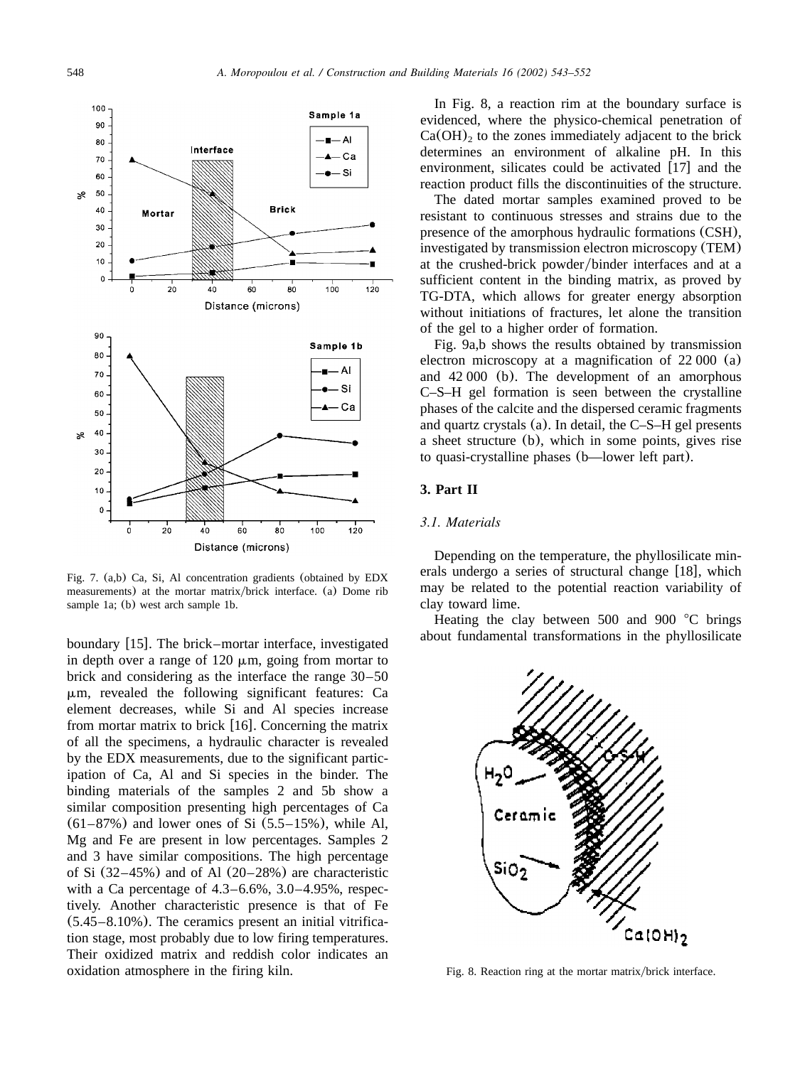<span id="page-5-0"></span>

Fig. 7. (a,b) Ca, Si, Al concentration gradients (obtained by EDX measurements) at the mortar matrix/brick interface. (a) Dome rib sample 1a; (b) west arch sample 1b.

boundary [[15](#page-9-0)]. The brick–mortar interface, investigated in depth over a range of  $120 \mu m$ , going from mortar to brick and considering as the interface the range 30–50  $\mu$ m, revealed the following significant features: Ca element decreases, while Si and Al species increase from mortar matrix to brick  $[16]$  $[16]$  $[16]$ . Concerning the matrix of all the specimens, a hydraulic character is revealed by the EDX measurements, due to the significant participation of Ca, Al and Si species in the binder. The binding materials of the samples 2 and 5b show a similar composition presenting high percentages of Ca  $(61–87%)$  and lower ones of Si  $(5.5–15%)$ , while Al, Mg and Fe are present in low percentages. Samples 2 and 3 have similar compositions. The high percentage of Si  $(32-45%)$  and of Al  $(20-28%)$  are characteristic with a Ca percentage of 4.3–6.6%, 3.0–4.95%, respectively. Another characteristic presence is that of Fe (5.45–8.10%). The ceramics present an initial vitrification stage, most probably due to low firing temperatures. Their oxidized matrix and reddish color indicates an oxidation atmosphere in the firing kiln.

In Fig. 8, a reaction rim at the boundary surface is evidenced, where the physico-chemical penetration of  $Ca(OH)<sub>2</sub>$  to the zones immediately adjacent to the brick determines an environment of alkaline pH. In this environment, silicates could be activated  $[17]$  $[17]$  $[17]$  and the reaction product fills the discontinuities of the structure.

The dated mortar samples examined proved to be resistant to continuous stresses and strains due to the presence of the amorphous hydraulic formations (CSH), investigated by transmission electron microscopy (TEM) at the crushed-brick powder/binder interfaces and at a sufficient content in the binding matrix, as proved by TG-DTA, which allows for greater energy absorption without initiations of fractures, let alone the transition of the gel to a higher order of formation.

[Fig. 9a](#page-6-0),b shows the results obtained by transmission electron microscopy at a magnification of 22 000 (a) and 42 000 (b). The development of an amorphous C–S–H gel formation is seen between the crystalline phases of the calcite and the dispersed ceramic fragments and quartz crystals (a). In detail, the C–S–H gel presents a sheet structure (b), which in some points, gives rise to quasi-crystalline phases (b—lower left part).

#### **3. Part II**

#### *3.1. Materials*

Depending on the temperature, the phyllosilicate minerals undergo a series of structural change  $[18]$  $[18]$  $[18]$ , which may be related to the potential reaction variability of clay toward lime.

Heating the clay between  $500$  and  $900$  °C brings about fundamental transformations in the phyllosilicate



Fig. 8. Reaction ring at the mortar matrix/brick interface.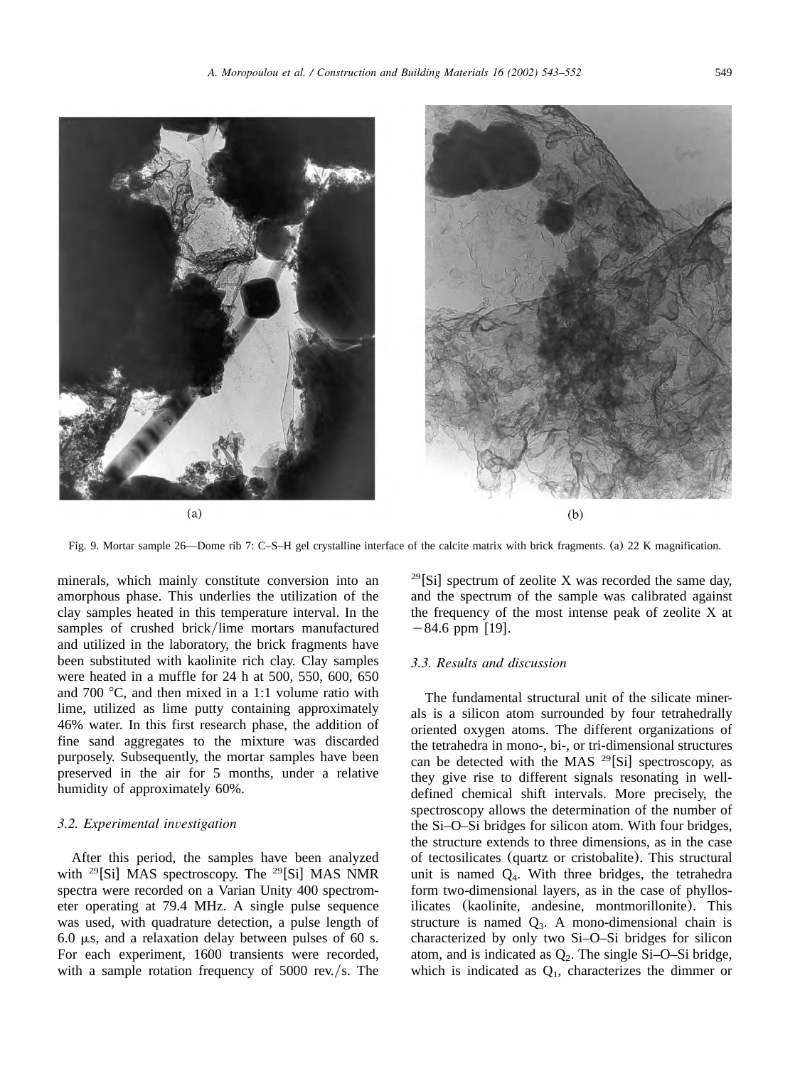<span id="page-6-0"></span>

Fig. 9. Mortar sample 26—Dome rib 7: C–S–H gel crystalline interface of the calcite matrix with brick fragments. (a) 22 K magnification.

minerals, which mainly constitute conversion into an amorphous phase. This underlies the utilization of the clay samples heated in this temperature interval. In the samples of crushed brick/lime mortars manufactured and utilized in the laboratory, the brick fragments have been substituted with kaolinite rich clay. Clay samples were heated in a muffle for 24 h at 500, 550, 600, 650 and 700  $\degree$ C, and then mixed in a 1:1 volume ratio with lime, utilized as lime putty containing approximately 46% water. In this first research phase, the addition of fine sand aggregates to the mixture was discarded purposely. Subsequently, the mortar samples have been preserved in the air for 5 months, under a relative humidity of approximately 60%.

#### *3.2. Experimental investigation*

After this period, the samples have been analyzed with  $^{29}$ [Si] MAS spectroscopy. The  $^{29}$ [Si] MAS NMR spectra were recorded on a Varian Unity 400 spectrometer operating at 79.4 MHz. A single pulse sequence was used, with quadrature detection, a pulse length of 6.0  $\mu$ s, and a relaxation delay between pulses of 60 s. For each experiment, 1600 transients were recorded, with a sample rotation frequency of  $5000$  rev./s. The

 $^{29}$ [Si] spectrum of zeolite X was recorded the same day, and the spectrum of the sample was calibrated against the frequency of the most intense peak of zeolite X at  $-84.6$  ppm [[19](#page-9-0)].

### *3.3. Results and discussion*

The fundamental structural unit of the silicate minerals is a silicon atom surrounded by four tetrahedrally oriented oxygen atoms. The different organizations of the tetrahedra in mono-, bi-, or tri-dimensional structures can be detected with the MAS  $^{29}$ [Si] spectroscopy, as they give rise to different signals resonating in welldefined chemical shift intervals. More precisely, the spectroscopy allows the determination of the number of the Si–O–Si bridges for silicon atom. With four bridges, the structure extends to three dimensions, as in the case of tectosilicates (quartz or cristobalite). This structural unit is named  $Q_4$ . With three bridges, the tetrahedra form two-dimensional layers, as in the case of phyllosilicates (kaolinite, andesine, montmorillonite). This structure is named  $Q_3$ . A mono-dimensional chain is characterized by only two Si–O–Si bridges for silicon atom, and is indicated as  $Q_2$ . The single Si-O–Si bridge, which is indicated as  $Q<sub>1</sub>$ , characterizes the dimmer or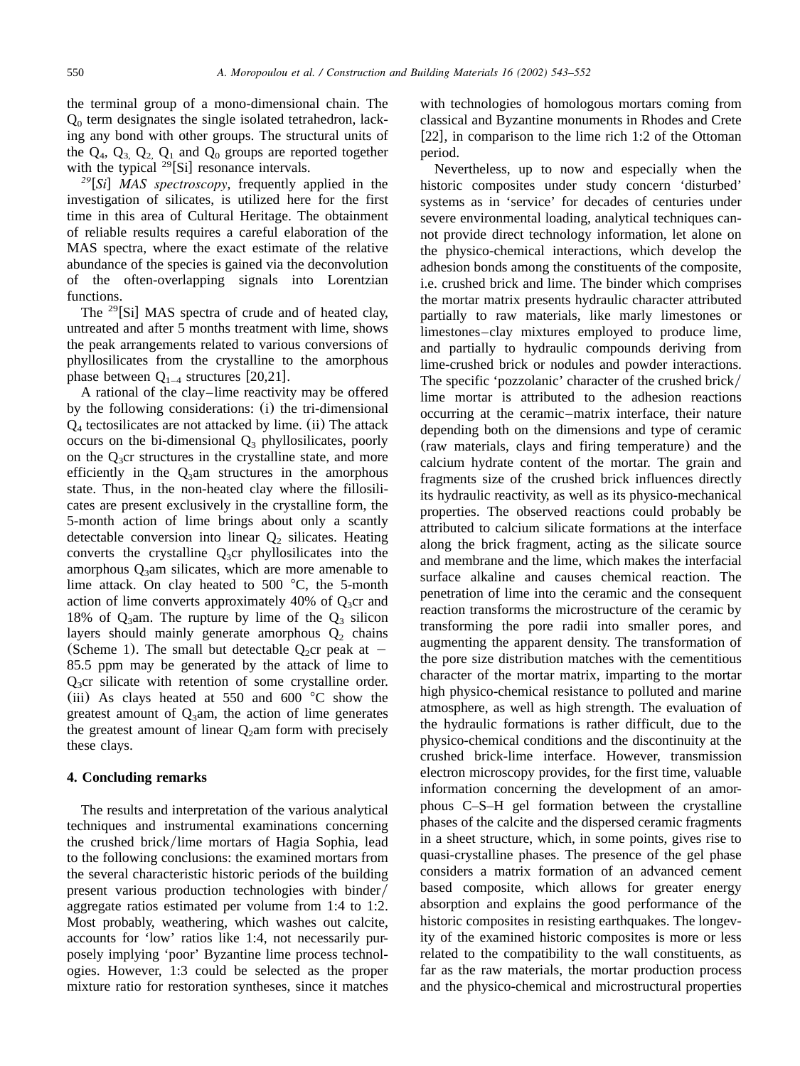the terminal group of a mono-dimensional chain. The  $Q<sub>0</sub>$  term designates the single isolated tetrahedron, lacking any bond with other groups. The structural units of the  $Q_4$ ,  $Q_3$ ,  $Q_2$ ,  $Q_1$  and  $Q_0$  groups are reported together with the typical  $^{29}$ [Si] resonance intervals.

<sup>29</sup>[Si] MAS spectroscopy, frequently applied in the investigation of silicates, is utilized here for the first time in this area of Cultural Heritage. The obtainment of reliable results requires a careful elaboration of the MAS spectra, where the exact estimate of the relative abundance of the species is gained via the deconvolution of the often-overlapping signals into Lorentzian functions.

The <sup>29</sup>[Si] MAS spectra of crude and of heated clay, untreated and after 5 months treatment with lime, shows the peak arrangements related to various conversions of phyllosilicates from the crystalline to the amorphous phase between  $Q_{1-4}$  structures [[20,21](#page-9-0)].

A rational of the clay–lime reactivity may be offered by the following considerations: (i) the tri-dimensional  $Q_4$  tectosilicates are not attacked by lime. (ii) The attack occurs on the bi-dimensional  $Q_3$  phyllosilicates, poorly on the  $Q_3$ cr structures in the crystalline state, and more efficiently in the  $Q_3$ am structures in the amorphous state. Thus, in the non-heated clay where the fillosilicates are present exclusively in the crystalline form, the 5-month action of lime brings about only a scantly detectable conversion into linear  $Q_2$  silicates. Heating converts the crystalline  $Q_3$ cr phyllosilicates into the amorphous  $Q_3$ am silicates, which are more amenable to lime attack. On clay heated to  $500\text{ °C}$ , the 5-month action of lime converts approximately 40% of  $Q_3$ cr and 18% of  $Q_3$ am. The rupture by lime of the  $Q_3$  silicon layers should mainly generate amorphous  $Q_2$  chains (Scheme 1). The small but detectable  $Q_2$ cr peak at -85.5 ppm may be generated by the attack of lime to  $Q_3$ cr silicate with retention of some crystalline order. (iii) As clays heated at 550 and 600  $\degree$ C show the greatest amount of  $Q_3$ am, the action of lime generates the greatest amount of linear  $Q_2$ am form with precisely these clays.

#### **4. Concluding remarks**

The results and interpretation of the various analytical techniques and instrumental examinations concerning the crushed brick/lime mortars of Hagia Sophia, lead to the following conclusions: the examined mortars from the several characteristic historic periods of the building present various production technologies with binder/ aggregate ratios estimated per volume from 1:4 to 1:2. Most probably, weathering, which washes out calcite, accounts for 'low' ratios like 1:4, not necessarily purposely implying 'poor' Byzantine lime process technologies. However, 1:3 could be selected as the proper mixture ratio for restoration syntheses, since it matches with technologies of homologous mortars coming from classical and Byzantine monuments in Rhodes and Crete [[22](#page-9-0)], in comparison to the lime rich 1:2 of the Ottoman period.

Nevertheless, up to now and especially when the historic composites under study concern 'disturbed' systems as in 'service' for decades of centuries under severe environmental loading, analytical techniques cannot provide direct technology information, let alone on the physico-chemical interactions, which develop the adhesion bonds among the constituents of the composite, i.e. crushed brick and lime. The binder which comprises the mortar matrix presents hydraulic character attributed partially to raw materials, like marly limestones or limestones–clay mixtures employed to produce lime, and partially to hydraulic compounds deriving from lime-crushed brick or nodules and powder interactions. The specific 'pozzolanic' character of the crushed brick/ lime mortar is attributed to the adhesion reactions occurring at the ceramic–matrix interface, their nature depending both on the dimensions and type of ceramic (raw materials, clays and firing temperature) and the calcium hydrate content of the mortar. The grain and fragments size of the crushed brick influences directly its hydraulic reactivity, as well as its physico-mechanical properties. The observed reactions could probably be attributed to calcium silicate formations at the interface along the brick fragment, acting as the silicate source and membrane and the lime, which makes the interfacial surface alkaline and causes chemical reaction. The penetration of lime into the ceramic and the consequent reaction transforms the microstructure of the ceramic by transforming the pore radii into smaller pores, and augmenting the apparent density. The transformation of the pore size distribution matches with the cementitious character of the mortar matrix, imparting to the mortar high physico-chemical resistance to polluted and marine atmosphere, as well as high strength. The evaluation of the hydraulic formations is rather difficult, due to the physico-chemical conditions and the discontinuity at the crushed brick-lime interface. However, transmission electron microscopy provides, for the first time, valuable information concerning the development of an amorphous C–S–H gel formation between the crystalline phases of the calcite and the dispersed ceramic fragments in a sheet structure, which, in some points, gives rise to quasi-crystalline phases. The presence of the gel phase considers a matrix formation of an advanced cement based composite, which allows for greater energy absorption and explains the good performance of the historic composites in resisting earthquakes. The longevity of the examined historic composites is more or less related to the compatibility to the wall constituents, as far as the raw materials, the mortar production process and the physico-chemical and microstructural properties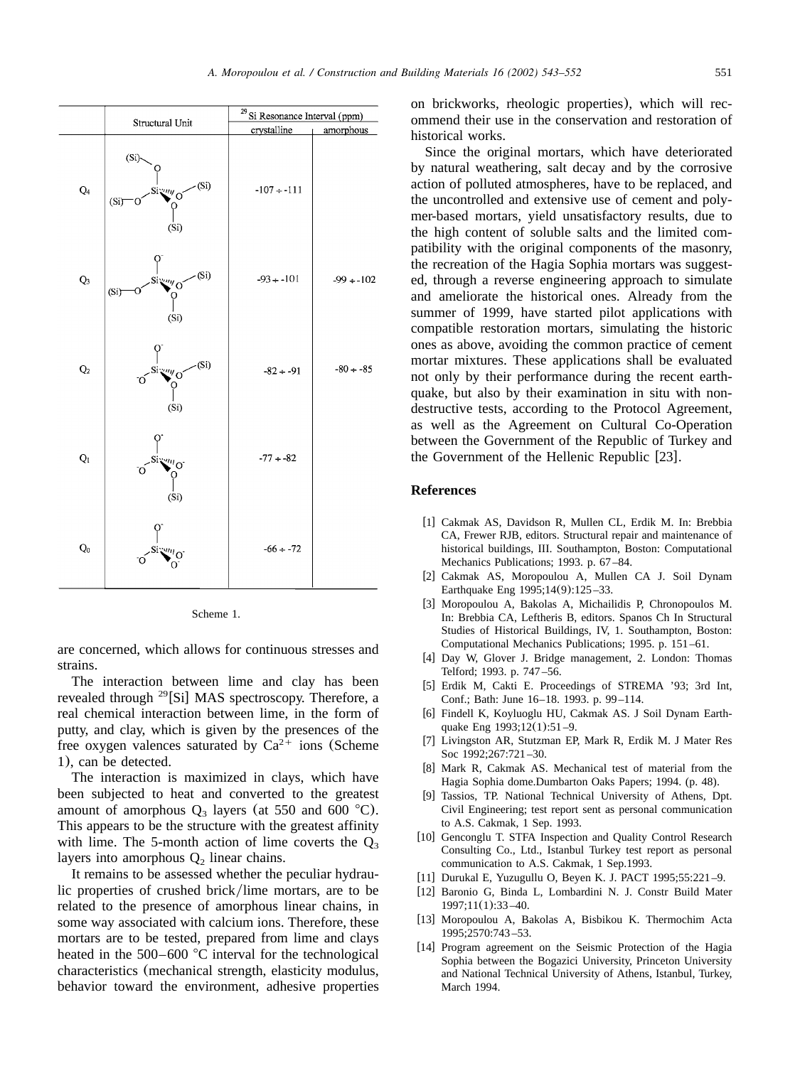<span id="page-8-0"></span>

Scheme 1.

are concerned, which allows for continuous stresses and strains.

The interaction between lime and clay has been revealed through <sup>29</sup>[Si] MAS spectroscopy. Therefore, a real chemical interaction between lime, in the form of putty, and clay, which is given by the presences of the free oxygen valences saturated by  $Ca^{2+}$  ions (Scheme 1), can be detected.

The interaction is maximized in clays, which have been subjected to heat and converted to the greatest amount of amorphous  $Q_3$  layers (at 550 and 600 °C). This appears to be the structure with the greatest affinity with lime. The 5-month action of lime coverts the  $O_3$ layers into amorphous  $Q_2$  linear chains.

It remains to be assessed whether the peculiar hydraulic properties of crushed brick/lime mortars, are to be related to the presence of amorphous linear chains, in some way associated with calcium ions. Therefore, these mortars are to be tested, prepared from lime and clays heated in the  $500-600$  °C interval for the technological characteristics (mechanical strength, elasticity modulus, behavior toward the environment, adhesive properties on brickworks, rheologic properties), which will recommend their use in the conservation and restoration of historical works.

Since the original mortars, which have deteriorated by natural weathering, salt decay and by the corrosive action of polluted atmospheres, have to be replaced, and the uncontrolled and extensive use of cement and polymer-based mortars, yield unsatisfactory results, due to the high content of soluble salts and the limited compatibility with the original components of the masonry, the recreation of the Hagia Sophia mortars was suggested, through a reverse engineering approach to simulate and ameliorate the historical ones. Already from the summer of 1999, have started pilot applications with compatible restoration mortars, simulating the historic ones as above, avoiding the common practice of cement mortar mixtures. These applications shall be evaluated not only by their performance during the recent earthquake, but also by their examination in situ with nondestructive tests, according to the Protocol Agreement, as well as the Agreement on Cultural Co-Operation between the Government of the Republic of Turkey and the Government of the Hellenic Republic  $[23]$  $[23]$  $[23]$ .

#### **References**

- [1] Cakmak AS, Davidson R, Mullen CL, Erdik M. In: Brebbia CA, Frewer RJB, editors. Structural repair and maintenance of historical buildings, III. Southampton, Boston: Computational Mechanics Publications; 1993. p. 67 –84.
- [2] Cakmak AS, Moropoulou A, Mullen CA J. Soil Dynam Earthquake Eng 1995;14(9):125 –33.
- [3] Moropoulou A, Bakolas A, Michailidis P, Chronopoulos M. In: Brebbia CA, Leftheris B, editors. Spanos Ch In Structural Studies of Historical Buildings, IV, 1. Southampton, Boston: Computational Mechanics Publications; 1995. p. 151 –61.
- [4] Day W, Glover J. Bridge management, 2. London: Thomas Telford; 1993. p. 747 –56.
- [5] Erdik M, Cakti E. Proceedings of STREMA '93; 3rd Int, Conf.; Bath: June 16–18. 1993. p. 99 –114.
- [6] Findell K, Koyluoglu HU, Cakmak AS. J Soil Dynam Earthquake Eng 1993;12(1):51 –9.
- [7] Livingston AR, Stutzman EP, Mark R, Erdik M. J Mater Res Soc 1992;267:721 –30.
- [8] Mark R, Cakmak AS. Mechanical test of material from the Hagia Sophia dome.Dumbarton Oaks Papers; 1994. (p. 48).
- Tassios, TP. National Technical University of Athens, Dpt. Civil Engineering; test report sent as personal communication to A.S. Cakmak, 1 Sep. 1993.
- [10] Genconglu T. STFA Inspection and Quality Control Research Consulting Co., Ltd., Istanbul Turkey test report as personal communication to A.S. Cakmak, 1 Sep.1993.
- [11] Durukal E, Yuzugullu O, Beyen K. J. PACT 1995;55:221-9.
- [12] Baronio G, Binda L, Lombardini N. J. Constr Build Mater 1997;11(1):33 –40.
- [13] Moropoulou A, Bakolas A, Bisbikou K. Thermochim Acta 1995;2570:743 –53.
- [14] Program agreement on the Seismic Protection of the Hagia Sophia between the Bogazici University, Princeton University and National Technical University of Athens, Istanbul, Turkey, March 1994.